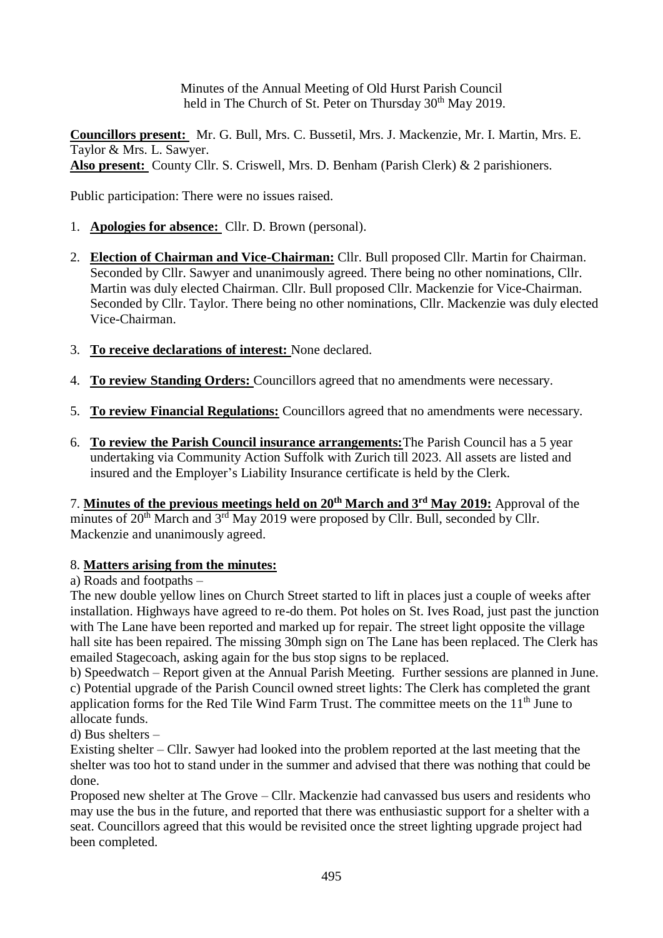Minutes of the Annual Meeting of Old Hurst Parish Council held in The Church of St. Peter on Thursday 30<sup>th</sup> May 2019.

**Councillors present:** Mr. G. Bull, Mrs. C. Bussetil, Mrs. J. Mackenzie, Mr. I. Martin, Mrs. E. Taylor & Mrs. L. Sawyer. **Also present:** County Cllr. S. Criswell, Mrs. D. Benham (Parish Clerk) & 2 parishioners.

Public participation: There were no issues raised.

- 1. **Apologies for absence:** Cllr. D. Brown (personal).
- 2. **Election of Chairman and Vice-Chairman:** Cllr. Bull proposed Cllr. Martin for Chairman. Seconded by Cllr. Sawyer and unanimously agreed. There being no other nominations, Cllr. Martin was duly elected Chairman. Cllr. Bull proposed Cllr. Mackenzie for Vice-Chairman. Seconded by Cllr. Taylor. There being no other nominations, Cllr. Mackenzie was duly elected Vice-Chairman.
- 3. **To receive declarations of interest:** None declared.
- 4. **To review Standing Orders:** Councillors agreed that no amendments were necessary.
- 5. **To review Financial Regulations:** Councillors agreed that no amendments were necessary.
- 6. **To review the Parish Council insurance arrangements:**The Parish Council has a 5 year undertaking via Community Action Suffolk with Zurich till 2023. All assets are listed and insured and the Employer's Liability Insurance certificate is held by the Clerk.

7. **Minutes of the previous meetings held on 20th March and 3rd May 2019:** Approval of the minutes of 20<sup>th</sup> March and 3<sup>rd</sup> May 2019 were proposed by Cllr. Bull, seconded by Cllr. Mackenzie and unanimously agreed.

# 8. **Matters arising from the minutes:**

a) Roads and footpaths –

The new double yellow lines on Church Street started to lift in places just a couple of weeks after installation. Highways have agreed to re-do them. Pot holes on St. Ives Road, just past the junction with The Lane have been reported and marked up for repair. The street light opposite the village hall site has been repaired. The missing 30mph sign on The Lane has been replaced. The Clerk has emailed Stagecoach, asking again for the bus stop signs to be replaced.

b) Speedwatch – Report given at the Annual Parish Meeting. Further sessions are planned in June. c) Potential upgrade of the Parish Council owned street lights: The Clerk has completed the grant application forms for the Red Tile Wind Farm Trust. The committee meets on the 11<sup>th</sup> June to allocate funds.

d) Bus shelters –

Existing shelter – Cllr. Sawyer had looked into the problem reported at the last meeting that the shelter was too hot to stand under in the summer and advised that there was nothing that could be done.

Proposed new shelter at The Grove – Cllr. Mackenzie had canvassed bus users and residents who may use the bus in the future, and reported that there was enthusiastic support for a shelter with a seat. Councillors agreed that this would be revisited once the street lighting upgrade project had been completed.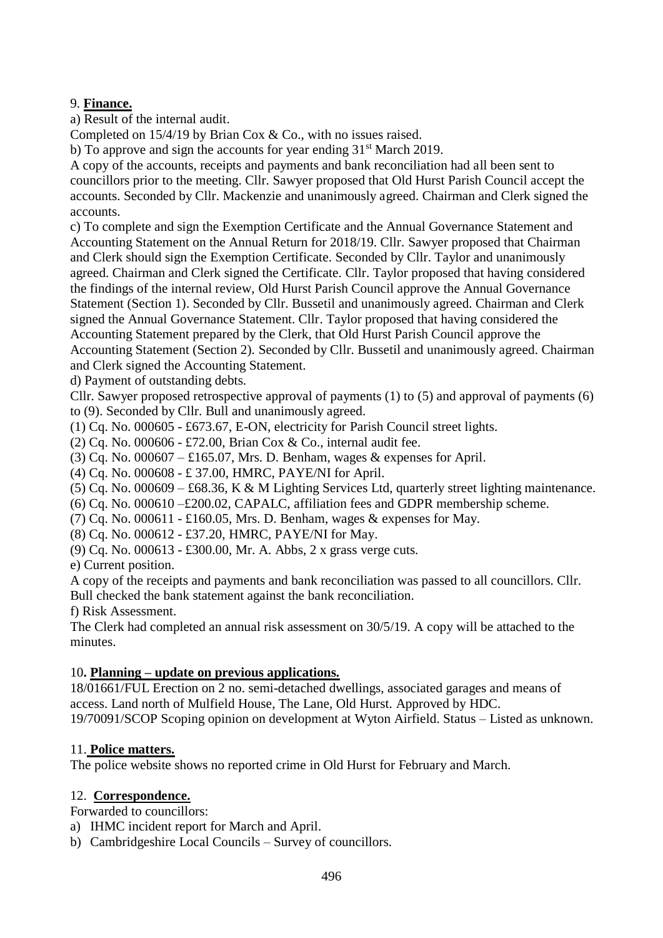# 9. **Finance.**

a) Result of the internal audit.

Completed on 15/4/19 by Brian Cox & Co., with no issues raised.

b) To approve and sign the accounts for year ending  $31<sup>st</sup>$  March 2019.

A copy of the accounts, receipts and payments and bank reconciliation had all been sent to councillors prior to the meeting. Cllr. Sawyer proposed that Old Hurst Parish Council accept the accounts. Seconded by Cllr. Mackenzie and unanimously agreed. Chairman and Clerk signed the accounts.

c) To complete and sign the Exemption Certificate and the Annual Governance Statement and Accounting Statement on the Annual Return for 2018/19. Cllr. Sawyer proposed that Chairman and Clerk should sign the Exemption Certificate. Seconded by Cllr. Taylor and unanimously agreed. Chairman and Clerk signed the Certificate. Cllr. Taylor proposed that having considered the findings of the internal review, Old Hurst Parish Council approve the Annual Governance Statement (Section 1). Seconded by Cllr. Bussetil and unanimously agreed. Chairman and Clerk signed the Annual Governance Statement. Cllr. Taylor proposed that having considered the Accounting Statement prepared by the Clerk, that Old Hurst Parish Council approve the Accounting Statement (Section 2). Seconded by Cllr. Bussetil and unanimously agreed. Chairman and Clerk signed the Accounting Statement.

d) Payment of outstanding debts.

Cllr. Sawyer proposed retrospective approval of payments (1) to (5) and approval of payments (6) to (9). Seconded by Cllr. Bull and unanimously agreed.

(1) Cq. No. 000605 - £673.67, E-ON, electricity for Parish Council street lights.

(2) Cq. No. 000606 - £72.00, Brian Cox & Co., internal audit fee.

(3) Cq. No.  $000607 - \text{\textsterling}165.07$ , Mrs. D. Benham, wages & expenses for April.

(4) Cq. No. 000608 - £ 37.00, HMRC, PAYE/NI for April.

(5) Cq. No. 000609 – £68.36, K & M Lighting Services Ltd, quarterly street lighting maintenance.

(6) Cq. No. 000610 –£200.02, CAPALC, affiliation fees and GDPR membership scheme.

(7) Cq. No.  $000611 - £160.05$ . Mrs. D. Benham, wages & expenses for May.

(8) Cq. No. 000612 - £37.20, HMRC, PAYE/NI for May.

(9) Cq. No. 000613 - £300.00, Mr. A. Abbs, 2 x grass verge cuts.

e) Current position.

A copy of the receipts and payments and bank reconciliation was passed to all councillors. Cllr. Bull checked the bank statement against the bank reconciliation.

f) Risk Assessment.

The Clerk had completed an annual risk assessment on 30/5/19. A copy will be attached to the minutes.

# 10**. Planning – update on previous applications.**

18/01661/FUL Erection on 2 no. semi-detached dwellings, associated garages and means of access. Land north of Mulfield House, The Lane, Old Hurst. Approved by HDC.

19/70091/SCOP Scoping opinion on development at Wyton Airfield. Status – Listed as unknown.

# 11. **Police matters.**

The police website shows no reported crime in Old Hurst for February and March.

### 12. **Correspondence.**

Forwarded to councillors:

- a) IHMC incident report for March and April.
- b) Cambridgeshire Local Councils Survey of councillors.